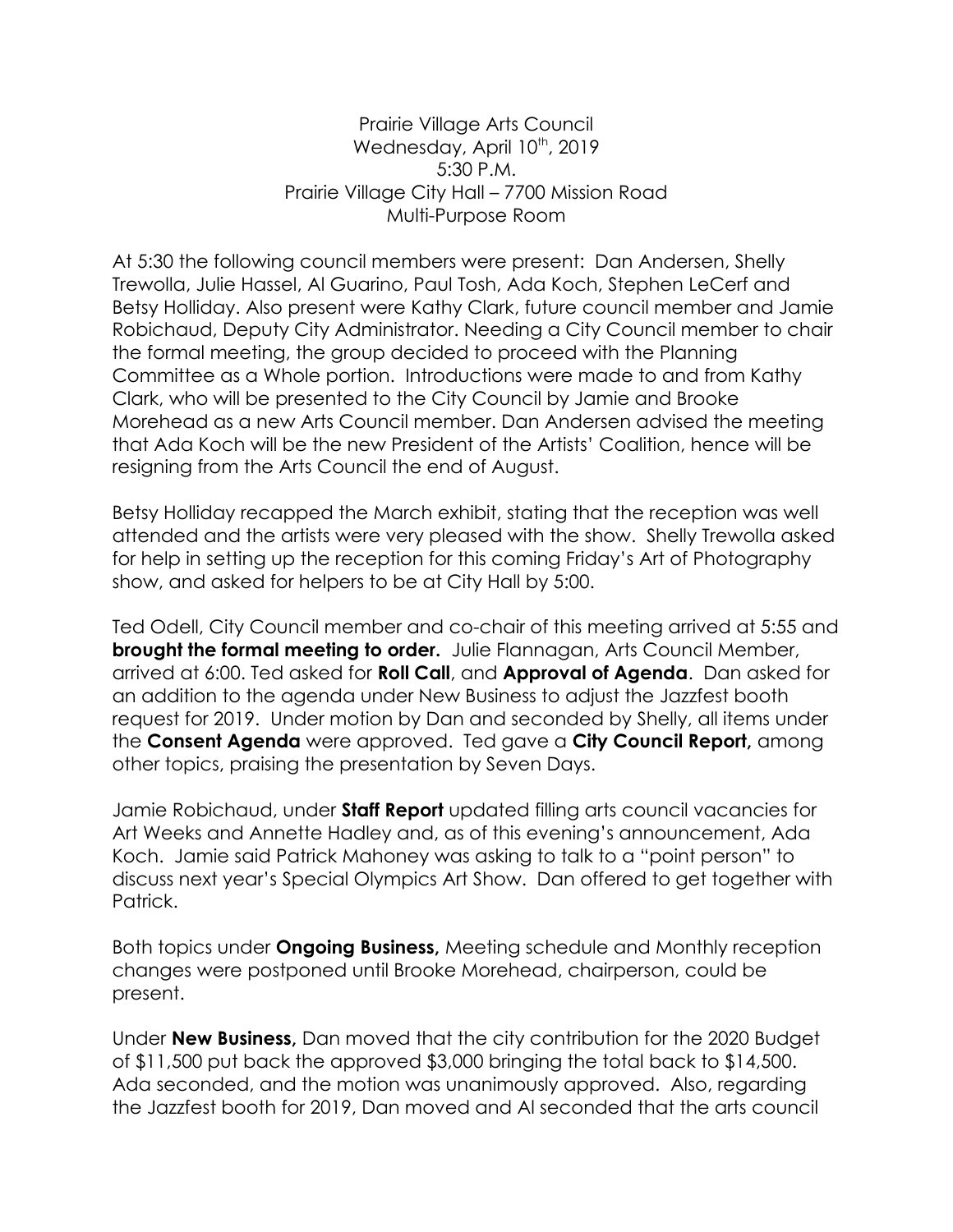Prairie Village Arts Council Wednesday, April 10<sup>th</sup>, 2019 5:30 P.M. Prairie Village City Hall – 7700 Mission Road Multi-Purpose Room

At 5:30 the following council members were present: Dan Andersen, Shelly Trewolla, Julie Hassel, Al Guarino, Paul Tosh, Ada Koch, Stephen LeCerf and Betsy Holliday. Also present were Kathy Clark, future council member and Jamie Robichaud, Deputy City Administrator. Needing a City Council member to chair the formal meeting, the group decided to proceed with the Planning Committee as a Whole portion. Introductions were made to and from Kathy Clark, who will be presented to the City Council by Jamie and Brooke Morehead as a new Arts Council member. Dan Andersen advised the meeting that Ada Koch will be the new President of the Artists' Coalition, hence will be resigning from the Arts Council the end of August.

Betsy Holliday recapped the March exhibit, stating that the reception was well attended and the artists were very pleased with the show. Shelly Trewolla asked for help in setting up the reception for this coming Friday's Art of Photography show, and asked for helpers to be at City Hall by 5:00.

Ted Odell, City Council member and co-chair of this meeting arrived at 5:55 and **brought the formal meeting to order.** Julie Flannagan, Arts Council Member, arrived at 6:00. Ted asked for **Roll Call**, and **Approval of Agenda**. Dan asked for an addition to the agenda under New Business to adjust the Jazzfest booth request for 2019. Under motion by Dan and seconded by Shelly, all items under the **Consent Agenda** were approved. Ted gave a **City Council Report,** among other topics, praising the presentation by Seven Days.

Jamie Robichaud, under **Staff Report** updated filling arts council vacancies for Art Weeks and Annette Hadley and, as of this evening's announcement, Ada Koch. Jamie said Patrick Mahoney was asking to talk to a "point person" to discuss next year's Special Olympics Art Show. Dan offered to get together with Patrick.

Both topics under **Ongoing Business,** Meeting schedule and Monthly reception changes were postponed until Brooke Morehead, chairperson, could be present.

Under **New Business,** Dan moved that the city contribution for the 2020 Budget of \$11,500 put back the approved \$3,000 bringing the total back to \$14,500. Ada seconded, and the motion was unanimously approved. Also, regarding the Jazzfest booth for 2019, Dan moved and Al seconded that the arts council